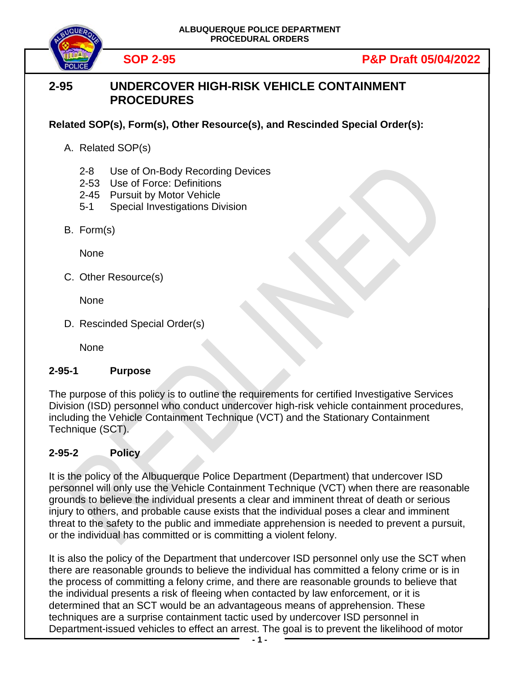



## **SOP 2-95 P&P Draft 05/04/2022**

## **2-95 UNDERCOVER HIGH-RISK VEHICLE CONTAINMENT PROCEDURES**

**Related SOP(s), Form(s), Other Resource(s), and Rescinded Special Order(s):**

- A. Related SOP(s)
	- 2-8 Use of On-Body Recording Devices
	- 2-53 Use of Force: Definitions
	- 2-45 Pursuit by Motor Vehicle
	- 5-1 Special Investigations Division
- B. Form(s)

**None** 

C. Other Resource(s)

None

D. Rescinded Special Order(s)

None

## **2-95-1 Purpose**

The purpose of this policy is to outline the requirements for certified Investigative Services Division (ISD) personnel who conduct undercover high-risk vehicle containment procedures, including the Vehicle Containment Technique (VCT) and the Stationary Containment Technique (SCT).

## **2-95-2 Policy**

It is the policy of the Albuquerque Police Department (Department) that undercover ISD personnel will only use the Vehicle Containment Technique (VCT) when there are reasonable grounds to believe the individual presents a clear and imminent threat of death or serious injury to others, and probable cause exists that the individual poses a clear and imminent threat to the safety to the public and immediate apprehension is needed to prevent a pursuit, or the individual has committed or is committing a violent felony.

It is also the policy of the Department that undercover ISD personnel only use the SCT when there are reasonable grounds to believe the individual has committed a felony crime or is in the process of committing a felony crime, and there are reasonable grounds to believe that the individual presents a risk of fleeing when contacted by law enforcement, or it is determined that an SCT would be an advantageous means of apprehension. These techniques are a surprise containment tactic used by undercover ISD personnel in Department-issued vehicles to effect an arrest. The goal is to prevent the likelihood of motor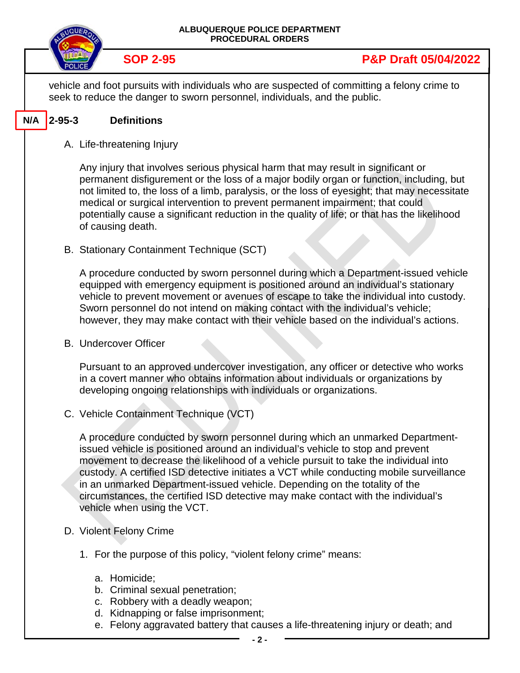|     |               |                                                                                                                             | ALBUQUERQUE POLICE DEPARTMENT<br><b>PROCEDURAL ORDERS</b>                                                                                                                                                                                                                                                                                                                                                                                                                                                              |
|-----|---------------|-----------------------------------------------------------------------------------------------------------------------------|------------------------------------------------------------------------------------------------------------------------------------------------------------------------------------------------------------------------------------------------------------------------------------------------------------------------------------------------------------------------------------------------------------------------------------------------------------------------------------------------------------------------|
|     |               | <b>SOP 2-95</b>                                                                                                             | <b>P&amp;P Draft 05/04/2022</b>                                                                                                                                                                                                                                                                                                                                                                                                                                                                                        |
|     |               |                                                                                                                             | vehicle and foot pursuits with individuals who are suspected of committing a felony crime to<br>seek to reduce the danger to sworn personnel, individuals, and the public.                                                                                                                                                                                                                                                                                                                                             |
| N/A | $ 2 - 95 - 3$ | <b>Definitions</b>                                                                                                          |                                                                                                                                                                                                                                                                                                                                                                                                                                                                                                                        |
|     |               | A. Life-threatening Injury                                                                                                  |                                                                                                                                                                                                                                                                                                                                                                                                                                                                                                                        |
|     |               | of causing death.                                                                                                           | Any injury that involves serious physical harm that may result in significant or<br>permanent disfigurement or the loss of a major bodily organ or function, including, but<br>not limited to, the loss of a limb, paralysis, or the loss of eyesight; that may necessitate<br>medical or surgical intervention to prevent permanent impairment; that could<br>potentially cause a significant reduction in the quality of life; or that has the likelihood                                                            |
|     |               | B. Stationary Containment Technique (SCT)                                                                                   |                                                                                                                                                                                                                                                                                                                                                                                                                                                                                                                        |
|     |               |                                                                                                                             | A procedure conducted by sworn personnel during which a Department-issued vehicle<br>equipped with emergency equipment is positioned around an individual's stationary<br>vehicle to prevent movement or avenues of escape to take the individual into custody.<br>Sworn personnel do not intend on making contact with the individual's vehicle;<br>however, they may make contact with their vehicle based on the individual's actions.                                                                              |
|     |               | <b>B.</b> Undercover Officer                                                                                                |                                                                                                                                                                                                                                                                                                                                                                                                                                                                                                                        |
|     |               |                                                                                                                             | Pursuant to an approved undercover investigation, any officer or detective who works<br>in a covert manner who obtains information about individuals or organizations by<br>developing ongoing relationships with individuals or organizations.                                                                                                                                                                                                                                                                        |
|     |               | C. Vehicle Containment Technique (VCT)                                                                                      |                                                                                                                                                                                                                                                                                                                                                                                                                                                                                                                        |
|     |               | vehicle when using the VCT.                                                                                                 | A procedure conducted by sworn personnel during which an unmarked Department-<br>issued vehicle is positioned around an individual's vehicle to stop and prevent<br>movement to decrease the likelihood of a vehicle pursuit to take the individual into<br>custody. A certified ISD detective initiates a VCT while conducting mobile surveillance<br>in an unmarked Department-issued vehicle. Depending on the totality of the<br>circumstances, the certified ISD detective may make contact with the individual's |
|     |               | D. Violent Felony Crime                                                                                                     |                                                                                                                                                                                                                                                                                                                                                                                                                                                                                                                        |
|     |               |                                                                                                                             | 1. For the purpose of this policy, "violent felony crime" means:                                                                                                                                                                                                                                                                                                                                                                                                                                                       |
|     |               | a. Homicide;<br>b. Criminal sexual penetration;<br>c. Robbery with a deadly weapon;<br>d. Kidnapping or false imprisonment; | e. Felony aggravated battery that causes a life-threatening injury or death; and                                                                                                                                                                                                                                                                                                                                                                                                                                       |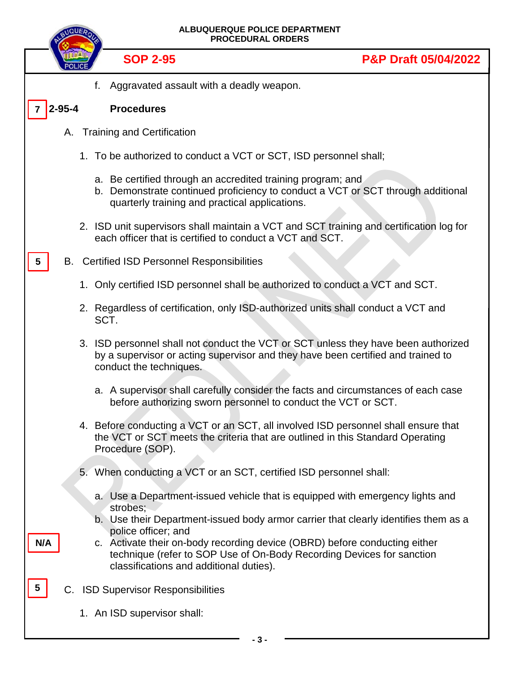|                 |              | ALBUQUERQUE POLICE DEPARTMENT<br><b>PROCEDURAL ORDERS</b>                                                                                                                                         |                                 |
|-----------------|--------------|---------------------------------------------------------------------------------------------------------------------------------------------------------------------------------------------------|---------------------------------|
|                 |              | <b>SOP 2-95</b>                                                                                                                                                                                   | <b>P&amp;P Draft 05/04/2022</b> |
|                 |              | Aggravated assault with a deadly weapon.<br>f.                                                                                                                                                    |                                 |
|                 | $2 - 95 - 4$ | <b>Procedures</b>                                                                                                                                                                                 |                                 |
|                 | Α.           | <b>Training and Certification</b>                                                                                                                                                                 |                                 |
|                 |              | 1. To be authorized to conduct a VCT or SCT, ISD personnel shall;                                                                                                                                 |                                 |
|                 |              | a. Be certified through an accredited training program; and<br>b. Demonstrate continued proficiency to conduct a VCT or SCT through additional<br>quarterly training and practical applications.  |                                 |
|                 |              | 2. ISD unit supervisors shall maintain a VCT and SCT training and certification log for<br>each officer that is certified to conduct a VCT and SCT.                                               |                                 |
| $5\phantom{.0}$ |              | <b>B.</b> Certified ISD Personnel Responsibilities                                                                                                                                                |                                 |
|                 |              | 1. Only certified ISD personnel shall be authorized to conduct a VCT and SCT.                                                                                                                     |                                 |
|                 |              | 2. Regardless of certification, only ISD-authorized units shall conduct a VCT and<br>SCT.                                                                                                         |                                 |
|                 |              | 3. ISD personnel shall not conduct the VCT or SCT unless they have been authorized<br>by a supervisor or acting supervisor and they have been certified and trained to<br>conduct the techniques. |                                 |
|                 |              | a. A supervisor shall carefully consider the facts and circumstances of each case<br>before authorizing sworn personnel to conduct the VCT or SCT.                                                |                                 |
|                 |              | 4. Before conducting a VCT or an SCT, all involved ISD personnel shall ensure that<br>the VCT or SCT meets the criteria that are outlined in this Standard Operating<br>Procedure (SOP).          |                                 |
|                 |              | 5. When conducting a VCT or an SCT, certified ISD personnel shall:                                                                                                                                |                                 |
|                 |              | a. Use a Department-issued vehicle that is equipped with emergency lights and<br>strobes;                                                                                                         |                                 |
|                 |              | b. Use their Department-issued body armor carrier that clearly identifies them as a<br>police officer; and                                                                                        |                                 |
| N/A             |              | c. Activate their on-body recording device (OBRD) before conducting either<br>technique (refer to SOP Use of On-Body Recording Devices for sanction<br>classifications and additional duties).    |                                 |
| 5               | C.           | <b>ISD Supervisor Responsibilities</b>                                                                                                                                                            |                                 |
|                 |              | 1. An ISD supervisor shall:                                                                                                                                                                       |                                 |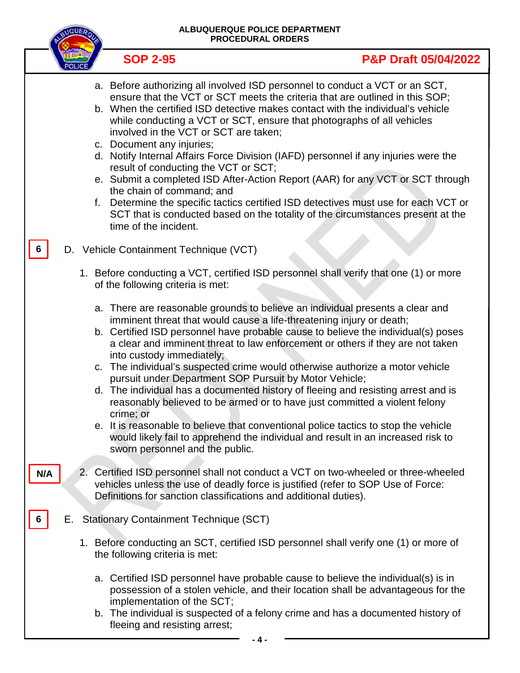|     | <b>NQUEA</b> |    |                                                                                                                                                                  | ALBUQUERQUE POLICE DEPARTMENT<br><b>PROCEDURAL ORDERS</b>                                                                                                                                                                                                                                                                                                                                                                                                                                                                                                                                                                                                                                                                                                   |
|-----|--------------|----|------------------------------------------------------------------------------------------------------------------------------------------------------------------|-------------------------------------------------------------------------------------------------------------------------------------------------------------------------------------------------------------------------------------------------------------------------------------------------------------------------------------------------------------------------------------------------------------------------------------------------------------------------------------------------------------------------------------------------------------------------------------------------------------------------------------------------------------------------------------------------------------------------------------------------------------|
|     |              |    | <b>SOP 2-95</b>                                                                                                                                                  | <b>P&amp;P Draft 05/04/2022</b>                                                                                                                                                                                                                                                                                                                                                                                                                                                                                                                                                                                                                                                                                                                             |
|     |              | f. | involved in the VCT or SCT are taken;<br>c. Document any injuries;<br>result of conducting the VCT or SCT;<br>the chain of command; and<br>time of the incident. | a. Before authorizing all involved ISD personnel to conduct a VCT or an SCT,<br>ensure that the VCT or SCT meets the criteria that are outlined in this SOP;<br>b. When the certified ISD detective makes contact with the individual's vehicle<br>while conducting a VCT or SCT, ensure that photographs of all vehicles<br>d. Notify Internal Affairs Force Division (IAFD) personnel if any injuries were the<br>e. Submit a completed ISD After-Action Report (AAR) for any VCT or SCT through<br>Determine the specific tactics certified ISD detectives must use for each VCT or<br>SCT that is conducted based on the totality of the circumstances present at the                                                                                   |
|     |              |    | D. Vehicle Containment Technique (VCT)                                                                                                                           |                                                                                                                                                                                                                                                                                                                                                                                                                                                                                                                                                                                                                                                                                                                                                             |
|     |              |    | of the following criteria is met:                                                                                                                                | 1. Before conducting a VCT, certified ISD personnel shall verify that one (1) or more                                                                                                                                                                                                                                                                                                                                                                                                                                                                                                                                                                                                                                                                       |
|     |              |    | into custody immediately;<br>pursuit under Department SOP Pursuit by Motor Vehicle;<br>crime; or<br>sworn personnel and the public.                              | a. There are reasonable grounds to believe an individual presents a clear and<br>imminent threat that would cause a life-threatening injury or death;<br>b. Certified ISD personnel have probable cause to believe the individual(s) poses<br>a clear and imminent threat to law enforcement or others if they are not taken<br>c. The individual's suspected crime would otherwise authorize a motor vehicle<br>d. The individual has a documented history of fleeing and resisting arrest and is<br>reasonably believed to be armed or to have just committed a violent felony<br>e. It is reasonable to believe that conventional police tactics to stop the vehicle<br>would likely fail to apprehend the individual and result in an increased risk to |
| N/A |              |    | Definitions for sanction classifications and additional duties).                                                                                                 | 2. Certified ISD personnel shall not conduct a VCT on two-wheeled or three-wheeled<br>vehicles unless the use of deadly force is justified (refer to SOP Use of Force:                                                                                                                                                                                                                                                                                                                                                                                                                                                                                                                                                                                      |
|     | Е.           |    | <b>Stationary Containment Technique (SCT)</b>                                                                                                                    |                                                                                                                                                                                                                                                                                                                                                                                                                                                                                                                                                                                                                                                                                                                                                             |
|     |              |    | the following criteria is met:                                                                                                                                   | 1. Before conducting an SCT, certified ISD personnel shall verify one (1) or more of                                                                                                                                                                                                                                                                                                                                                                                                                                                                                                                                                                                                                                                                        |
|     |              |    | implementation of the SCT;<br>fleeing and resisting arrest;                                                                                                      | a. Certified ISD personnel have probable cause to believe the individual(s) is in<br>possession of a stolen vehicle, and their location shall be advantageous for the<br>b. The individual is suspected of a felony crime and has a documented history of                                                                                                                                                                                                                                                                                                                                                                                                                                                                                                   |